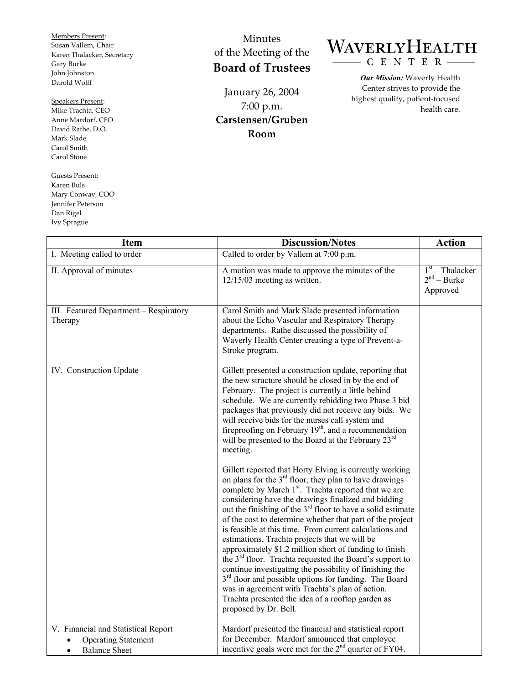Members Present: Susan Vallem, Chair Karen Thalacker, Secretary Gary Burke John Johnston Darold Wolff

## Speakers Present:

Mike Trachta, CEO Anne Mardorf, CFO David Rathe, D.O. Mark Slade Carol Smith Carol Stone

Guests Present: Karen Buls Mary Conway, COO Jennifer Peterson Dan Rigel Ivy Sprague

## Minutes of the Meeting of the **Board of Trustees**

January 26, 2004 7:00 p.m. **Carstensen/Gruben Room** 

## WAVERLYHEALTH CENTER-

*Our Mission:* Waverly Health Center strives to provide the highest quality, patient-focused health care.

| <b>Item</b>                                                                                            | <b>Discussion/Notes</b>                                                                                                                                                                                                                                                                                                                                                                                                                                                                                                                                                                                                                                                                                                                                                                                                                                                                    | <b>Action</b>                                  |
|--------------------------------------------------------------------------------------------------------|--------------------------------------------------------------------------------------------------------------------------------------------------------------------------------------------------------------------------------------------------------------------------------------------------------------------------------------------------------------------------------------------------------------------------------------------------------------------------------------------------------------------------------------------------------------------------------------------------------------------------------------------------------------------------------------------------------------------------------------------------------------------------------------------------------------------------------------------------------------------------------------------|------------------------------------------------|
| I. Meeting called to order                                                                             | Called to order by Vallem at 7:00 p.m.                                                                                                                                                                                                                                                                                                                                                                                                                                                                                                                                                                                                                                                                                                                                                                                                                                                     |                                                |
| II. Approval of minutes                                                                                | A motion was made to approve the minutes of the<br>$12/15/03$ meeting as written.                                                                                                                                                                                                                                                                                                                                                                                                                                                                                                                                                                                                                                                                                                                                                                                                          | $1st$ – Thalacker<br>$2nd - Burke$<br>Approved |
| III. Featured Department - Respiratory<br>Therapy                                                      | Carol Smith and Mark Slade presented information<br>about the Echo Vascular and Respiratory Therapy<br>departments. Rathe discussed the possibility of<br>Waverly Health Center creating a type of Prevent-a-<br>Stroke program.                                                                                                                                                                                                                                                                                                                                                                                                                                                                                                                                                                                                                                                           |                                                |
| IV. Construction Update                                                                                | Gillett presented a construction update, reporting that<br>the new structure should be closed in by the end of<br>February. The project is currently a little behind<br>schedule. We are currently rebidding two Phase 3 bid<br>packages that previously did not receive any bids. We<br>will receive bids for the nurses call system and<br>fireproofing on February 19 <sup>th</sup> , and a recommendation<br>will be presented to the Board at the February 23 <sup>rd</sup><br>meeting.                                                                                                                                                                                                                                                                                                                                                                                               |                                                |
|                                                                                                        | Gillett reported that Horty Elving is currently working<br>on plans for the $3rd$ floor, they plan to have drawings<br>complete by March 1 <sup>st</sup> . Trachta reported that we are<br>considering have the drawings finalized and bidding<br>out the finishing of the 3 <sup>rd</sup> floor to have a solid estimate<br>of the cost to determine whether that part of the project<br>is feasible at this time. From current calculations and<br>estimations, Trachta projects that we will be<br>approximately \$1.2 million short of funding to finish<br>the $3rd$ floor. Trachta requested the Board's support to<br>continue investigating the possibility of finishing the<br>3 <sup>rd</sup> floor and possible options for funding. The Board<br>was in agreement with Trachta's plan of action.<br>Trachta presented the idea of a rooftop garden as<br>proposed by Dr. Bell. |                                                |
| V. Financial and Statistical Report<br><b>Operating Statement</b><br><b>Balance Sheet</b><br>$\bullet$ | Mardorf presented the financial and statistical report<br>for December. Mardorf announced that employee<br>incentive goals were met for the $2nd$ quarter of FY04.                                                                                                                                                                                                                                                                                                                                                                                                                                                                                                                                                                                                                                                                                                                         |                                                |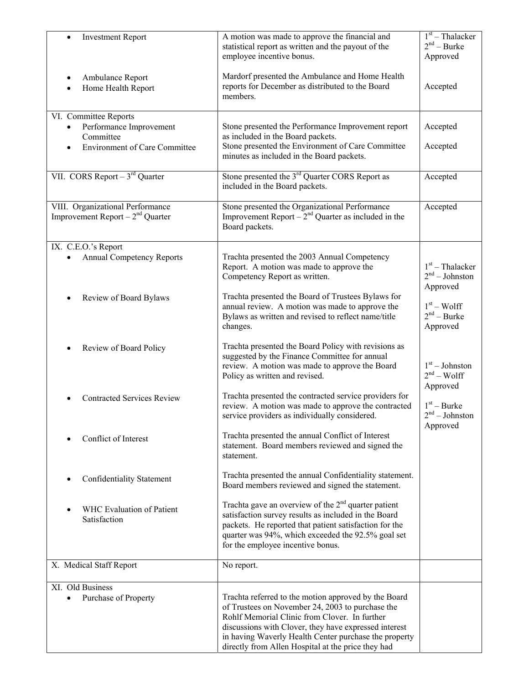| <b>Investment Report</b><br>$\bullet$               | A motion was made to approve the financial and<br>statistical report as written and the payout of the<br>employee incentive bonus. | $1st$ – Thalacker<br>$2nd - Burke$<br>Approved |
|-----------------------------------------------------|------------------------------------------------------------------------------------------------------------------------------------|------------------------------------------------|
| Ambulance Report<br>Home Health Report<br>$\bullet$ | Mardorf presented the Ambulance and Home Health<br>reports for December as distributed to the Board<br>members.                    | Accepted                                       |
| VI. Committee Reports                               |                                                                                                                                    |                                                |
| Performance Improvement                             | Stone presented the Performance Improvement report                                                                                 | Accepted                                       |
| Committee                                           | as included in the Board packets.                                                                                                  |                                                |
| <b>Environment of Care Committee</b>                | Stone presented the Environment of Care Committee<br>minutes as included in the Board packets.                                     | Accepted                                       |
| VII. CORS Report $-3^{rd}$ Quarter                  | Stone presented the 3 <sup>rd</sup> Quarter CORS Report as                                                                         | Accepted                                       |
|                                                     | included in the Board packets.                                                                                                     |                                                |
| VIII. Organizational Performance                    | Stone presented the Organizational Performance                                                                                     | Accepted                                       |
| Improvement Report – $2nd$ Quarter                  | Improvement Report – $2nd$ Quarter as included in the                                                                              |                                                |
|                                                     | Board packets.                                                                                                                     |                                                |
| IX. C.E.O.'s Report                                 |                                                                                                                                    |                                                |
| <b>Annual Competency Reports</b>                    | Trachta presented the 2003 Annual Competency                                                                                       |                                                |
|                                                     | Report. A motion was made to approve the                                                                                           | $1st$ – Thalacker                              |
|                                                     | Competency Report as written.                                                                                                      | $2nd - Johnston$                               |
|                                                     | Trachta presented the Board of Trustees Bylaws for                                                                                 | Approved                                       |
| Review of Board Bylaws                              | annual review. A motion was made to approve the                                                                                    | $1st - Wolf$                                   |
|                                                     | Bylaws as written and revised to reflect name/title                                                                                | $2nd - Burke$                                  |
|                                                     | changes.                                                                                                                           | Approved                                       |
|                                                     |                                                                                                                                    |                                                |
| Review of Board Policy                              | Trachta presented the Board Policy with revisions as<br>suggested by the Finance Committee for annual                              |                                                |
|                                                     | review. A motion was made to approve the Board                                                                                     | $1st - Johnston$                               |
|                                                     | Policy as written and revised.                                                                                                     | $2nd - Wolf$                                   |
|                                                     |                                                                                                                                    | Approved                                       |
| <b>Contracted Services Review</b>                   | Trachta presented the contracted service providers for                                                                             | $1st - Burke$                                  |
|                                                     | review. A motion was made to approve the contracted<br>service providers as individually considered.                               | $2^{\rm nd}$ – Johnston                        |
|                                                     |                                                                                                                                    | Approved                                       |
| Conflict of Interest                                | Trachta presented the annual Conflict of Interest                                                                                  |                                                |
|                                                     | statement. Board members reviewed and signed the                                                                                   |                                                |
|                                                     | statement.                                                                                                                         |                                                |
|                                                     | Trachta presented the annual Confidentiality statement.                                                                            |                                                |
| Confidentiality Statement                           | Board members reviewed and signed the statement.                                                                                   |                                                |
|                                                     |                                                                                                                                    |                                                |
| WHC Evaluation of Patient                           | Trachta gave an overview of the $2nd$ quarter patient                                                                              |                                                |
| Satisfaction                                        | satisfaction survey results as included in the Board<br>packets. He reported that patient satisfaction for the                     |                                                |
|                                                     | quarter was 94%, which exceeded the 92.5% goal set                                                                                 |                                                |
|                                                     | for the employee incentive bonus.                                                                                                  |                                                |
|                                                     |                                                                                                                                    |                                                |
| X. Medical Staff Report                             | No report.                                                                                                                         |                                                |
| XI. Old Business                                    |                                                                                                                                    |                                                |
| Purchase of Property                                | Trachta referred to the motion approved by the Board                                                                               |                                                |
|                                                     | of Trustees on November 24, 2003 to purchase the                                                                                   |                                                |
|                                                     | Rohlf Memorial Clinic from Clover. In further                                                                                      |                                                |
|                                                     | discussions with Clover, they have expressed interest<br>in having Waverly Health Center purchase the property                     |                                                |
|                                                     | directly from Allen Hospital at the price they had                                                                                 |                                                |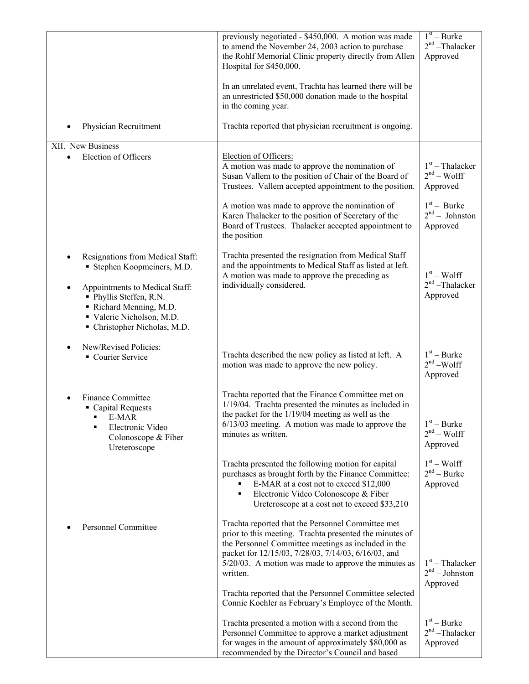|                                                                                                                                                                                                                | previously negotiated - \$450,000. A motion was made<br>to amend the November 24, 2003 action to purchase<br>the Rohlf Memorial Clinic property directly from Allen<br>Hospital for \$450,000.<br>In an unrelated event, Trachta has learned there will be<br>an unrestricted \$50,000 donation made to the hospital<br>in the coming year.                                                                        | $\overline{1^{st}}$ – Burke<br>$2nd$ -Thalacker<br>Approved |
|----------------------------------------------------------------------------------------------------------------------------------------------------------------------------------------------------------------|--------------------------------------------------------------------------------------------------------------------------------------------------------------------------------------------------------------------------------------------------------------------------------------------------------------------------------------------------------------------------------------------------------------------|-------------------------------------------------------------|
| Physician Recruitment                                                                                                                                                                                          | Trachta reported that physician recruitment is ongoing.                                                                                                                                                                                                                                                                                                                                                            |                                                             |
| XII. New Business<br>Election of Officers                                                                                                                                                                      | Election of Officers:<br>A motion was made to approve the nomination of<br>Susan Vallem to the position of Chair of the Board of<br>Trustees. Vallem accepted appointment to the position.                                                                                                                                                                                                                         | $1st$ – Thalacker<br>$2nd - Wolf$<br>Approved               |
|                                                                                                                                                                                                                | A motion was made to approve the nomination of<br>Karen Thalacker to the position of Secretary of the<br>Board of Trustees. Thalacker accepted appointment to<br>the position                                                                                                                                                                                                                                      | $1st$ – Burke<br>$2nd - Johnston$<br>Approved               |
| Resignations from Medical Staff:<br>Stephen Koopmeiners, M.D.<br>Appointments to Medical Staff:<br>• Phyllis Steffen, R.N.<br>Richard Menning, M.D.<br>Valerie Nicholson, M.D.<br>• Christopher Nicholas, M.D. | Trachta presented the resignation from Medical Staff<br>and the appointments to Medical Staff as listed at left.<br>A motion was made to approve the preceding as<br>individually considered.                                                                                                                                                                                                                      | $1st - Wolf$<br>$2nd$ -Thalacker<br>Approved                |
| New/Revised Policies:<br>Courier Service                                                                                                                                                                       | Trachta described the new policy as listed at left. A<br>motion was made to approve the new policy.                                                                                                                                                                                                                                                                                                                | $1st - Burke$<br>$2nd - Wolf$<br>Approved                   |
| Finance Committee<br>• Capital Requests<br>$E-MAR$<br>Electronic Video<br>٠<br>Colonoscope & Fiber<br>Ureteroscope                                                                                             | Trachta reported that the Finance Committee met on<br>1/19/04. Trachta presented the minutes as included in<br>the packet for the 1/19/04 meeting as well as the<br>$6/13/03$ meeting. A motion was made to approve the<br>minutes as written.                                                                                                                                                                     | $1st - Burke$<br>$2nd - Wolf$<br>Approved                   |
|                                                                                                                                                                                                                | Trachta presented the following motion for capital<br>purchases as brought forth by the Finance Committee:<br>E-MAR at a cost not to exceed \$12,000<br>٠<br>Electronic Video Colonoscope & Fiber<br>٠<br>Ureteroscope at a cost not to exceed \$33,210                                                                                                                                                            | $1st - Wolf$<br>$2nd - Burke$<br>Approved                   |
| Personnel Committee                                                                                                                                                                                            | Trachta reported that the Personnel Committee met<br>prior to this meeting. Trachta presented the minutes of<br>the Personnel Committee meetings as included in the<br>packet for 12/15/03, 7/28/03, 7/14/03, 6/16/03, and<br>$5/20/03$ . A motion was made to approve the minutes as<br>written.<br>Trachta reported that the Personnel Committee selected<br>Connie Koehler as February's Employee of the Month. | $1st$ – Thalacker<br>$2nd - Johnston$<br>Approved           |
|                                                                                                                                                                                                                | Trachta presented a motion with a second from the<br>Personnel Committee to approve a market adjustment<br>for wages in the amount of approximately \$80,000 as<br>recommended by the Director's Council and based                                                                                                                                                                                                 | $1st - Burke$<br>$2nd$ -Thalacker<br>Approved               |